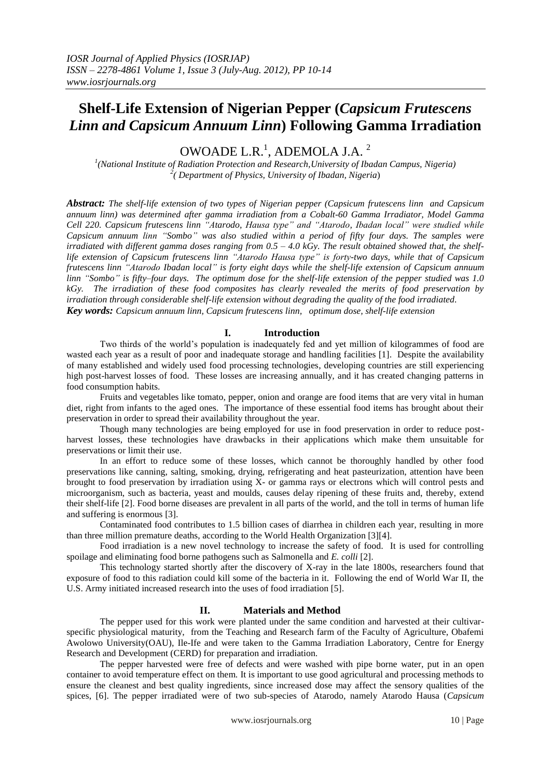# **Shelf-Life Extension of Nigerian Pepper (***Capsicum Frutescens Linn and Capsicum Annuum Linn***) Following Gamma Irradiation**

OWOADE L.R. $^1$ , ADEMOLA J.A.<sup>2</sup>

*1 (National Institute of Radiation Protection and Research,University of Ibadan Campus, Nigeria) 2 ( Department of Physics, University of Ibadan, Nigeria*)

*Abstract: The shelf-life extension of two types of Nigerian pepper (Capsicum frutescens linn and Capsicum annuum linn) was determined after gamma irradiation from a Cobalt-60 Gamma Irradiator, Model Gamma Cell 220. Capsicum frutescens linn "Atarodo, Hausa type" and "Atarodo, Ibadan local" were studied while Capsicum annuum linn "Sombo" was also studied within a period of fifty four days. The samples were irradiated with different gamma doses ranging from 0.5 – 4.0 kGy. The result obtained showed that, the shelflife extension of Capsicum frutescens linn "Atarodo Hausa type" is forty-two days, while that of Capsicum frutescens linn "Atarodo Ibadan local" is forty eight days while the shelf-life extension of Capsicum annuum linn "Sombo" is fifty–four days. The optimum dose for the shelf-life extension of the pepper studied was 1.0 kGy. The irradiation of these food composites has clearly revealed the merits of food preservation by irradiation through considerable shelf-life extension without degrading the quality of the food irradiated. Key words: Capsicum annuum linn, Capsicum frutescens linn, optimum dose, shelf-life extension*

# **I. Introduction**

Two thirds of the world's population is inadequately fed and yet million of kilogrammes of food are wasted each year as a result of poor and inadequate storage and handling facilities [1]. Despite the availability of many established and widely used food processing technologies, developing countries are still experiencing high post-harvest losses of food. These losses are increasing annually, and it has created changing patterns in food consumption habits.

Fruits and vegetables like tomato, pepper, onion and orange are food items that are very vital in human diet, right from infants to the aged ones. The importance of these essential food items has brought about their preservation in order to spread their availability throughout the year.

Though many technologies are being employed for use in food preservation in order to reduce postharvest losses, these technologies have drawbacks in their applications which make them unsuitable for preservations or limit their use.

In an effort to reduce some of these losses, which cannot be thoroughly handled by other food preservations like canning, salting, smoking, drying, refrigerating and heat pasteurization, attention have been brought to food preservation by irradiation using X- or gamma rays or electrons which will control pests and microorganism, such as bacteria, yeast and moulds, causes delay ripening of these fruits and, thereby, extend their shelf-life [2]. Food borne diseases are prevalent in all parts of the world, and the toll in terms of human life and suffering is enormous [3].

Contaminated food contributes to 1.5 billion cases of diarrhea in children each year, resulting in more than three million premature deaths, according to the World Health Organization [3][4].

Food irradiation is a new novel technology to increase the safety of food. It is used for controlling spoilage and eliminating food borne pathogens such as Salmonella and *E. colli* [2].

This technology started shortly after the discovery of X-ray in the late 1800s, researchers found that exposure of food to this radiation could kill some of the bacteria in it. Following the end of World War II, the U.S. Army initiated increased research into the uses of food irradiation [5].

## **II. Materials and Method**

The pepper used for this work were planted under the same condition and harvested at their cultivarspecific physiological maturity, from the Teaching and Research farm of the Faculty of Agriculture, Obafemi Awolowo University(OAU), Ile-Ife and were taken to the Gamma Irradiation Laboratory, Centre for Energy Research and Development (CERD) for preparation and irradiation.

The pepper harvested were free of defects and were washed with pipe borne water, put in an open container to avoid temperature effect on them. It is important to use good agricultural and processing methods to ensure the cleanest and best quality ingredients, since increased dose may affect the sensory qualities of the spices, [6]. The pepper irradiated were of two sub-species of Atarodo, namely Atarodo Hausa (*Capsicum*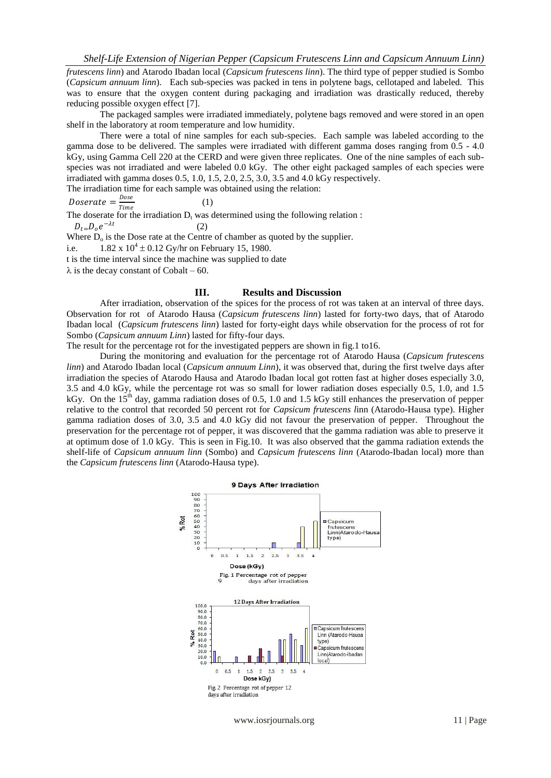*frutescens linn*) and Atarodo Ibadan local (*Capsicum frutescens linn*). The third type of pepper studied is Sombo (*Capsicum annuum linn*). Each sub-species was packed in tens in polytene bags, cellotaped and labeled. This was to ensure that the oxygen content during packaging and irradiation was drastically reduced, thereby reducing possible oxygen effect [7].

The packaged samples were irradiated immediately, polytene bags removed and were stored in an open shelf in the laboratory at room temperature and low humidity.

There were a total of nine samples for each sub-species. Each sample was labeled according to the gamma dose to be delivered. The samples were irradiated with different gamma doses ranging from 0.5 - 4.0 kGy, using Gamma Cell 220 at the CERD and were given three replicates. One of the nine samples of each subspecies was not irradiated and were labeled 0.0 kGy. The other eight packaged samples of each species were irradiated with gamma doses 0.5, 1.0, 1.5, 2.0, 2.5, 3.0, 3.5 and 4.0 kGy respectively.

The irradiation time for each sample was obtained using the relation:

$$
Doserate = \frac{Dose}{Time} \tag{1}
$$

The doserate for the irradiation  $D_t$  was determined using the following relation :

$$
D_{t=}D_o\,e^{-\lambda t}
$$

Where  $D_0$  is the Dose rate at the Centre of chamber as quoted by the supplier.

(2)

i.e.  $1.82 \times 10^4 \pm 0.12$  Gy/hr on February 15, 1980.

t is the time interval since the machine was supplied to date

 $\lambda$  is the decay constant of Cobalt – 60.

#### **III. Results and Discussion**

After irradiation, observation of the spices for the process of rot was taken at an interval of three days. Observation for rot of Atarodo Hausa (*Capsicum frutescens linn*) lasted for forty-two days, that of Atarodo Ibadan local (*Capsicum frutescens linn*) lasted for forty-eight days while observation for the process of rot for Sombo (*Capsicum annuum Linn*) lasted for fifty-four days.

The result for the percentage rot for the investigated peppers are shown in fig.1 to16.

During the monitoring and evaluation for the percentage rot of Atarodo Hausa (*Capsicum frutescens linn*) and Atarodo Ibadan local (*Capsicum annuum Linn*), it was observed that, during the first twelve days after irradiation the species of Atarodo Hausa and Atarodo Ibadan local got rotten fast at higher doses especially 3.0, 3.5 and 4.0 kGy, while the percentage rot was so small for lower radiation doses especially 0.5, 1.0, and 1.5 kGy. On the 15<sup>th</sup> day, gamma radiation doses of 0.5, 1.0 and 1.5 kGy still enhances the preservation of pepper relative to the control that recorded 50 percent rot for *Capsicum frutescens l*inn (Atarodo-Hausa type). Higher gamma radiation doses of 3.0, 3.5 and 4.0 kGy did not favour the preservation of pepper. Throughout the preservation for the percentage rot of pepper, it was discovered that the gamma radiation was able to preserve it at optimum dose of 1.0 kGy. This is seen in Fig.10. It was also observed that the gamma radiation extends the shelf-life of *Capsicum annuum linn* (Sombo) and *Capsicum frutescens linn* (Atarodo-Ibadan local) more than the *Capsicum frutescens linn* (Atarodo-Hausa type).



www.iosrjournals.org 11 | Page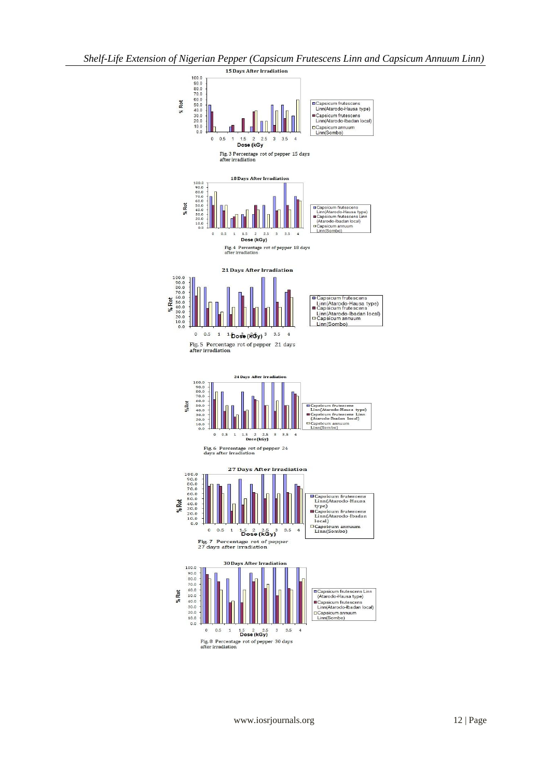*Shelf-Life Extension of Nigerian Pepper (Capsicum Frutescens Linn and Capsicum Annuum Linn)*

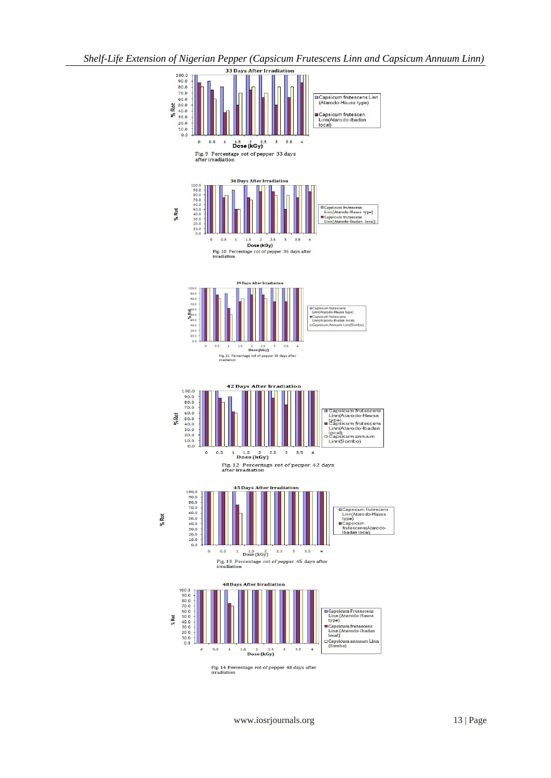*Shelf-Life Extension of Nigerian Pepper (Capsicum Frutescens Linn and Capsicum Annuum Linn)*



www.iosrjournals.org 13 | Page